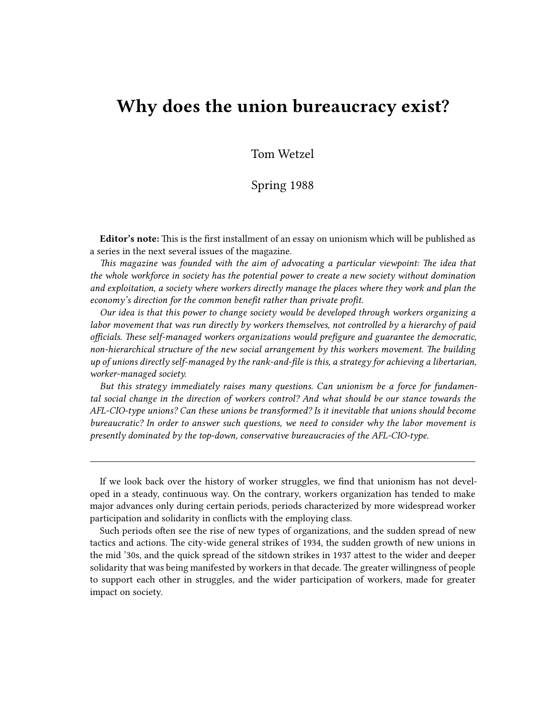# **Why does the union bureaucracy exist?**

Tom Wetzel

## Spring 1988

**Editor's note:** This is the first installment of an essay on unionism which will be published as a series in the next several issues of the magazine.

*This magazine was founded with the aim of advocating a particular viewpoint: The idea that the whole workforce in society has the potential power to create a new society without domination and exploitation, a society where workers directly manage the places where they work and plan the economy's direction for the common benefit rather than private profit.*

*Our idea is that this power to change society would be developed through workers organizing a labor movement that was run directly by workers themselves, not controlled by a hierarchy of paid officials. These self-managed workers organizations would prefigure and guarantee the democratic, non-hierarchical structure of the new social arrangement by this workers movement. The building up of unions directly self-managed by the rank-and-file is this, a strategy for achieving a libertarian, worker-managed society.*

*But this strategy immediately raises many questions. Can unionism be a force for fundamental social change in the direction of workers control? And what should be our stance towards the AFL-CIO-type unions? Can these unions be transformed? Is it inevitable that unions should become bureaucratic? In order to answer such questions, we need to consider why the labor movement is presently dominated by the top-down, conservative bureaucracies of the AFL-CIO-type.*

Such periods often see the rise of new types of organizations, and the sudden spread of new tactics and actions. The city-wide general strikes of 1934, the sudden growth of new unions in the mid '30s, and the quick spread of the sitdown strikes in 1937 attest to the wider and deeper solidarity that was being manifested by workers in that decade. The greater willingness of people to support each other in struggles, and the wider participation of workers, made for greater impact on society.

If we look back over the history of worker struggles, we find that unionism has not developed in a steady, continuous way. On the contrary, workers organization has tended to make major advances only during certain periods, periods characterized by more widespread worker participation and solidarity in conflicts with the employing class.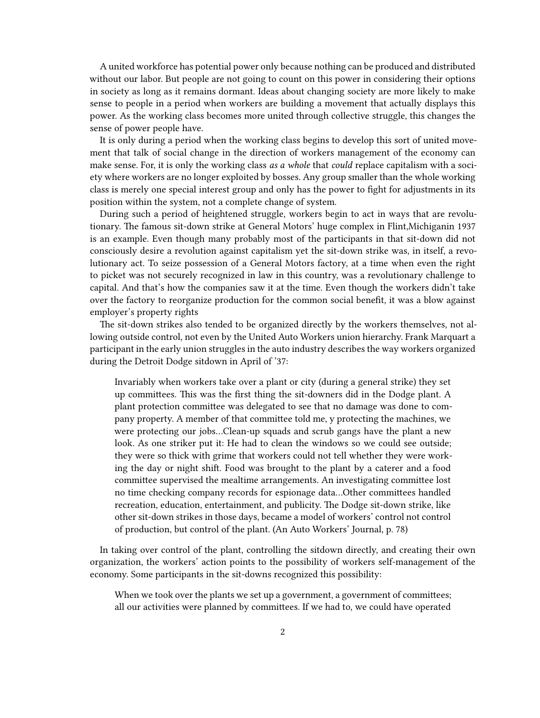A united workforce has potential power only because nothing can be produced and distributed without our labor. But people are not going to count on this power in considering their options in society as long as it remains dormant. Ideas about changing society are more likely to make sense to people in a period when workers are building a movement that actually displays this power. As the working class becomes more united through collective struggle, this changes the sense of power people have.

It is only during a period when the working class begins to develop this sort of united movement that talk of social change in the direction of workers management of the economy can make sense. For, it is only the working class *as a whole* that *could* replace capitalism with a society where workers are no longer exploited by bosses. Any group smaller than the whole working class is merely one special interest group and only has the power to fight for adjustments in its position within the system, not a complete change of system.

During such a period of heightened struggle, workers begin to act in ways that are revolutionary. The famous sit-down strike at General Motors' huge complex in Flint,Michiganin 1937 is an example. Even though many probably most of the participants in that sit-down did not consciously desire a revolution against capitalism yet the sit-down strike was, in itself, a revolutionary act. To seize possession of a General Motors factory, at a time when even the right to picket was not securely recognized in law in this country, was a revolutionary challenge to capital. And that's how the companies saw it at the time. Even though the workers didn't take over the factory to reorganize production for the common social benefit, it was a blow against employer's property rights

The sit-down strikes also tended to be organized directly by the workers themselves, not allowing outside control, not even by the United Auto Workers union hierarchy. Frank Marquart a participant in the early union struggles in the auto industry describes the way workers organized during the Detroit Dodge sitdown in April of '37:

Invariably when workers take over a plant or city (during a general strike) they set up committees. This was the first thing the sit-downers did in the Dodge plant. A plant protection committee was delegated to see that no damage was done to company property. A member of that committee told me, y protecting the machines, we were protecting our jobs…Clean-up squads and scrub gangs have the plant a new look. As one striker put it: He had to clean the windows so we could see outside; they were so thick with grime that workers could not tell whether they were working the day or night shift. Food was brought to the plant by a caterer and a food committee supervised the mealtime arrangements. An investigating committee lost no time checking company records for espionage data…Other committees handled recreation, education, entertainment, and publicity. The Dodge sit-down strike, like other sit-down strikes in those days, became a model of workers' control not control of production, but control of the plant. (An Auto Workers' Journal, p. 78)

In taking over control of the plant, controlling the sitdown directly, and creating their own organization, the workers' action points to the possibility of workers self-management of the economy. Some participants in the sit-downs recognized this possibility:

When we took over the plants we set up a government, a government of committees; all our activities were planned by committees. If we had to, we could have operated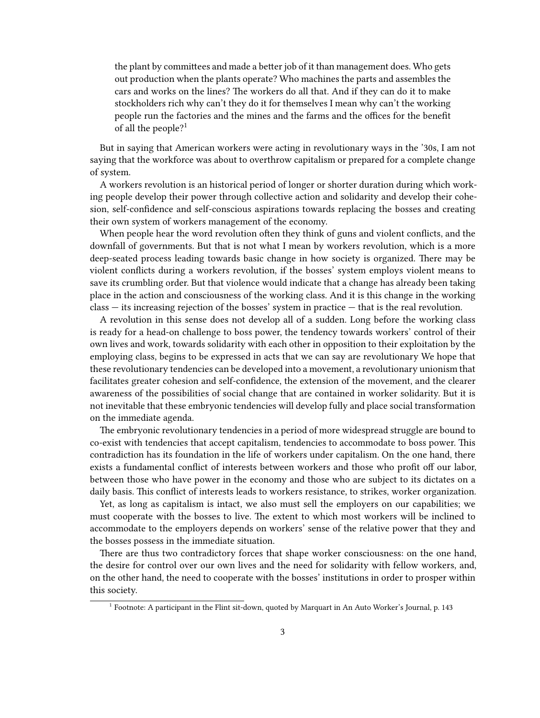the plant by committees and made a better job of it than management does. Who gets out production when the plants operate? Who machines the parts and assembles the cars and works on the lines? The workers do all that. And if they can do it to make stockholders rich why can't they do it for themselves I mean why can't the working people run the factories and the mines and the farms and the offices for the benefit of all the people?<sup>1</sup>

But in saying that American workers were acting in revolutionary ways in the '30s, I am not saying that the workforce was about to overthrow capitalism or prepared for a complete change of system.

A workers revolution is an historical period of longer or shorter duration during which working people develop their power through collective action and solidarity and develop their cohesion, self-confidence and self-conscious aspirations towards replacing the bosses and creating their own system of workers management of the economy.

When people hear the word revolution often they think of guns and violent conflicts, and the downfall of governments. But that is not what I mean by workers revolution, which is a more deep-seated process leading towards basic change in how society is organized. There may be violent conflicts during a workers revolution, if the bosses' system employs violent means to save its crumbling order. But that violence would indicate that a change has already been taking place in the action and consciousness of the working class. And it is this change in the working class — its increasing rejection of the bosses' system in practice — that is the real revolution.

A revolution in this sense does not develop all of a sudden. Long before the working class is ready for a head-on challenge to boss power, the tendency towards workers' control of their own lives and work, towards solidarity with each other in opposition to their exploitation by the employing class, begins to be expressed in acts that we can say are revolutionary We hope that these revolutionary tendencies can be developed into a movement, a revolutionary unionism that facilitates greater cohesion and self-confidence, the extension of the movement, and the clearer awareness of the possibilities of social change that are contained in worker solidarity. But it is not inevitable that these embryonic tendencies will develop fully and place social transformation on the immediate agenda.

The embryonic revolutionary tendencies in a period of more widespread struggle are bound to co-exist with tendencies that accept capitalism, tendencies to accommodate to boss power. This contradiction has its foundation in the life of workers under capitalism. On the one hand, there exists a fundamental conflict of interests between workers and those who profit off our labor, between those who have power in the economy and those who are subject to its dictates on a daily basis. This conflict of interests leads to workers resistance, to strikes, worker organization.

Yet, as long as capitalism is intact, we also must sell the employers on our capabilities; we must cooperate with the bosses to live. The extent to which most workers will be inclined to accommodate to the employers depends on workers' sense of the relative power that they and the bosses possess in the immediate situation.

There are thus two contradictory forces that shape worker consciousness: on the one hand, the desire for control over our own lives and the need for solidarity with fellow workers, and, on the other hand, the need to cooperate with the bosses' institutions in order to prosper within this society.

<sup>&</sup>lt;sup>1</sup> Footnote: A participant in the Flint sit-down, quoted by Marquart in An Auto Worker's Journal, p. 143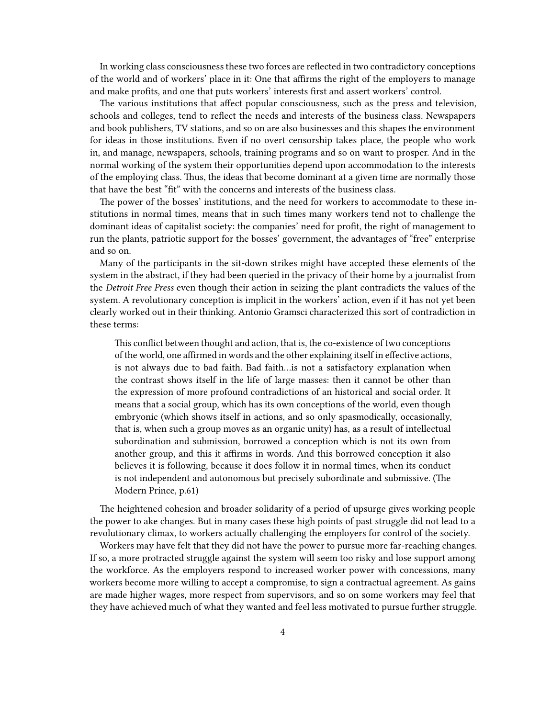In working class consciousness these two forces are reflected in two contradictory conceptions of the world and of workers' place in it: One that affirms the right of the employers to manage and make profits, and one that puts workers' interests first and assert workers' control.

The various institutions that affect popular consciousness, such as the press and television, schools and colleges, tend to reflect the needs and interests of the business class. Newspapers and book publishers, TV stations, and so on are also businesses and this shapes the environment for ideas in those institutions. Even if no overt censorship takes place, the people who work in, and manage, newspapers, schools, training programs and so on want to prosper. And in the normal working of the system their opportunities depend upon accommodation to the interests of the employing class. Thus, the ideas that become dominant at a given time are normally those that have the best "fit" with the concerns and interests of the business class.

The power of the bosses' institutions, and the need for workers to accommodate to these institutions in normal times, means that in such times many workers tend not to challenge the dominant ideas of capitalist society: the companies' need for profit, the right of management to run the plants, patriotic support for the bosses' government, the advantages of "free" enterprise and so on.

Many of the participants in the sit-down strikes might have accepted these elements of the system in the abstract, if they had been queried in the privacy of their home by a journalist from the *Detroit Free Press* even though their action in seizing the plant contradicts the values of the system. A revolutionary conception is implicit in the workers' action, even if it has not yet been clearly worked out in their thinking. Antonio Gramsci characterized this sort of contradiction in these terms:

This conflict between thought and action, that is, the co-existence of two conceptions of the world, one affirmed in words and the other explaining itself in effective actions, is not always due to bad faith. Bad faith…is not a satisfactory explanation when the contrast shows itself in the life of large masses: then it cannot be other than the expression of more profound contradictions of an historical and social order. It means that a social group, which has its own conceptions of the world, even though embryonic (which shows itself in actions, and so only spasmodically, occasionally, that is, when such a group moves as an organic unity) has, as a result of intellectual subordination and submission, borrowed a conception which is not its own from another group, and this it affirms in words. And this borrowed conception it also believes it is following, because it does follow it in normal times, when its conduct is not independent and autonomous but precisely subordinate and submissive. (The Modern Prince, p.61)

The heightened cohesion and broader solidarity of a period of upsurge gives working people the power to ake changes. But in many cases these high points of past struggle did not lead to a revolutionary climax, to workers actually challenging the employers for control of the society.

Workers may have felt that they did not have the power to pursue more far-reaching changes. If so, a more protracted struggle against the system will seem too risky and lose support among the workforce. As the employers respond to increased worker power with concessions, many workers become more willing to accept a compromise, to sign a contractual agreement. As gains are made higher wages, more respect from supervisors, and so on some workers may feel that they have achieved much of what they wanted and feel less motivated to pursue further struggle.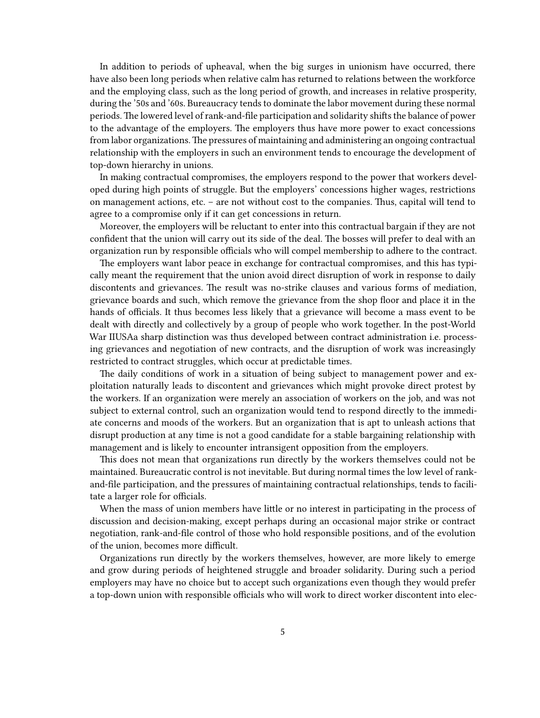In addition to periods of upheaval, when the big surges in unionism have occurred, there have also been long periods when relative calm has returned to relations between the workforce and the employing class, such as the long period of growth, and increases in relative prosperity, during the '50s and '60s. Bureaucracy tends to dominate the labor movement during these normal periods. The lowered level of rank-and-file participation and solidarity shifts the balance of power to the advantage of the employers. The employers thus have more power to exact concessions from labor organizations.The pressures of maintaining and administering an ongoing contractual relationship with the employers in such an environment tends to encourage the development of top-down hierarchy in unions.

In making contractual compromises, the employers respond to the power that workers developed during high points of struggle. But the employers' concessions higher wages, restrictions on management actions, etc. – are not without cost to the companies. Thus, capital will tend to agree to a compromise only if it can get concessions in return.

Moreover, the employers will be reluctant to enter into this contractual bargain if they are not confident that the union will carry out its side of the deal. The bosses will prefer to deal with an organization run by responsible officials who will compel membership to adhere to the contract.

The employers want labor peace in exchange for contractual compromises, and this has typically meant the requirement that the union avoid direct disruption of work in response to daily discontents and grievances. The result was no-strike clauses and various forms of mediation, grievance boards and such, which remove the grievance from the shop floor and place it in the hands of officials. It thus becomes less likely that a grievance will become a mass event to be dealt with directly and collectively by a group of people who work together. In the post-World War IIUSAa sharp distinction was thus developed between contract administration i.e. processing grievances and negotiation of new contracts, and the disruption of work was increasingly restricted to contract struggles, which occur at predictable times.

The daily conditions of work in a situation of being subject to management power and exploitation naturally leads to discontent and grievances which might provoke direct protest by the workers. If an organization were merely an association of workers on the job, and was not subject to external control, such an organization would tend to respond directly to the immediate concerns and moods of the workers. But an organization that is apt to unleash actions that disrupt production at any time is not a good candidate for a stable bargaining relationship with management and is likely to encounter intransigent opposition from the employers.

This does not mean that organizations run directly by the workers themselves could not be maintained. Bureaucratic control is not inevitable. But during normal times the low level of rankand-file participation, and the pressures of maintaining contractual relationships, tends to facilitate a larger role for officials.

When the mass of union members have little or no interest in participating in the process of discussion and decision-making, except perhaps during an occasional major strike or contract negotiation, rank-and-file control of those who hold responsible positions, and of the evolution of the union, becomes more difficult.

Organizations run directly by the workers themselves, however, are more likely to emerge and grow during periods of heightened struggle and broader solidarity. During such a period employers may have no choice but to accept such organizations even though they would prefer a top-down union with responsible officials who will work to direct worker discontent into elec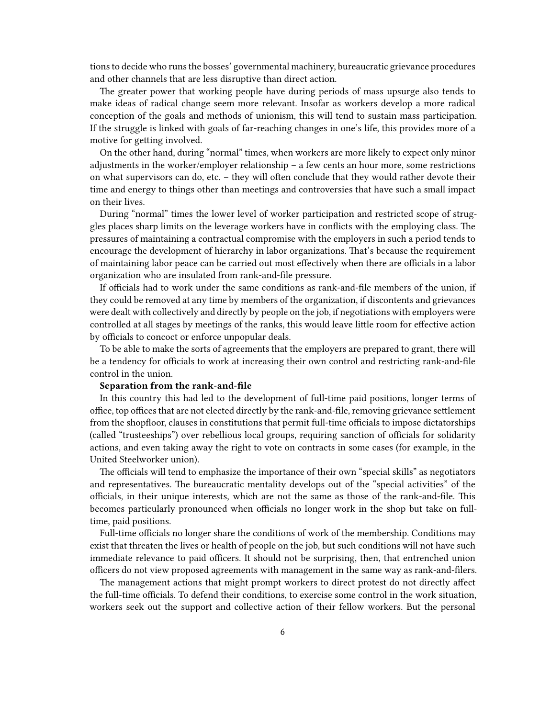tions to decide who runs the bosses' governmental machinery, bureaucratic grievance procedures and other channels that are less disruptive than direct action.

The greater power that working people have during periods of mass upsurge also tends to make ideas of radical change seem more relevant. Insofar as workers develop a more radical conception of the goals and methods of unionism, this will tend to sustain mass participation. If the struggle is linked with goals of far-reaching changes in one's life, this provides more of a motive for getting involved.

On the other hand, during "normal" times, when workers are more likely to expect only minor adjustments in the worker/employer relationship – a few cents an hour more, some restrictions on what supervisors can do, etc. – they will often conclude that they would rather devote their time and energy to things other than meetings and controversies that have such a small impact on their lives.

During "normal" times the lower level of worker participation and restricted scope of struggles places sharp limits on the leverage workers have in conflicts with the employing class. The pressures of maintaining a contractual compromise with the employers in such a period tends to encourage the development of hierarchy in labor organizations. That's because the requirement of maintaining labor peace can be carried out most effectively when there are officials in a labor organization who are insulated from rank-and-file pressure.

If officials had to work under the same conditions as rank-and-file members of the union, if they could be removed at any time by members of the organization, if discontents and grievances were dealt with collectively and directly by people on the job, if negotiations with employers were controlled at all stages by meetings of the ranks, this would leave little room for effective action by officials to concoct or enforce unpopular deals.

To be able to make the sorts of agreements that the employers are prepared to grant, there will be a tendency for officials to work at increasing their own control and restricting rank-and-file control in the union.

#### **Separation from the rank-and-file**

In this country this had led to the development of full-time paid positions, longer terms of office, top offices that are not elected directly by the rank-and-file, removing grievance settlement from the shopfloor, clauses in constitutions that permit full-time officials to impose dictatorships (called "trusteeships") over rebellious local groups, requiring sanction of officials for solidarity actions, and even taking away the right to vote on contracts in some cases (for example, in the United Steelworker union).

The officials will tend to emphasize the importance of their own "special skills" as negotiators and representatives. The bureaucratic mentality develops out of the "special activities" of the officials, in their unique interests, which are not the same as those of the rank-and-file. This becomes particularly pronounced when officials no longer work in the shop but take on fulltime, paid positions.

Full-time officials no longer share the conditions of work of the membership. Conditions may exist that threaten the lives or health of people on the job, but such conditions will not have such immediate relevance to paid officers. It should not be surprising, then, that entrenched union officers do not view proposed agreements with management in the same way as rank-and-filers.

The management actions that might prompt workers to direct protest do not directly affect the full-time officials. To defend their conditions, to exercise some control in the work situation, workers seek out the support and collective action of their fellow workers. But the personal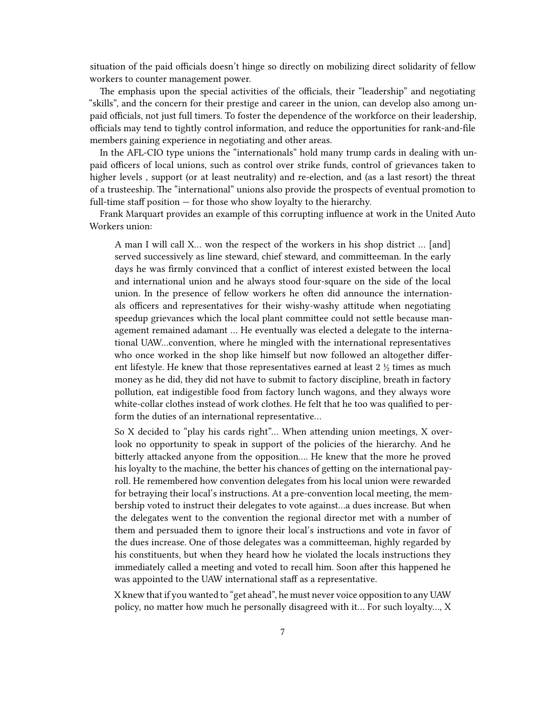situation of the paid officials doesn't hinge so directly on mobilizing direct solidarity of fellow workers to counter management power.

The emphasis upon the special activities of the officials, their "leadership" and negotiating "skills", and the concern for their prestige and career in the union, can develop also among unpaid officials, not just full timers. To foster the dependence of the workforce on their leadership, officials may tend to tightly control information, and reduce the opportunities for rank-and-file members gaining experience in negotiating and other areas.

In the AFL-CIO type unions the "internationals" hold many trump cards in dealing with unpaid officers of local unions, such as control over strike funds, control of grievances taken to higher levels , support (or at least neutrality) and re-election, and (as a last resort) the threat of a trusteeship. The "international" unions also provide the prospects of eventual promotion to full-time staff position  $-$  for those who show loyalty to the hierarchy.

Frank Marquart provides an example of this corrupting influence at work in the United Auto Workers union:

A man I will call X… won the respect of the workers in his shop district … [and] served successively as line steward, chief steward, and committeeman. In the early days he was firmly convinced that a conflict of interest existed between the local and international union and he always stood four-square on the side of the local union. In the presence of fellow workers he often did announce the internationals officers and representatives for their wishy-washy attitude when negotiating speedup grievances which the local plant committee could not settle because management remained adamant … He eventually was elected a delegate to the international UAW…convention, where he mingled with the international representatives who once worked in the shop like himself but now followed an altogether different lifestyle. He knew that those representatives earned at least 2 ½ times as much money as he did, they did not have to submit to factory discipline, breath in factory pollution, eat indigestible food from factory lunch wagons, and they always wore white-collar clothes instead of work clothes. He felt that he too was qualified to perform the duties of an international representative…

So X decided to "play his cards right"… When attending union meetings, X overlook no opportunity to speak in support of the policies of the hierarchy. And he bitterly attacked anyone from the opposition…. He knew that the more he proved his loyalty to the machine, the better his chances of getting on the international payroll. He remembered how convention delegates from his local union were rewarded for betraying their local's instructions. At a pre-convention local meeting, the membership voted to instruct their delegates to vote against…a dues increase. But when the delegates went to the convention the regional director met with a number of them and persuaded them to ignore their local's instructions and vote in favor of the dues increase. One of those delegates was a committeeman, highly regarded by his constituents, but when they heard how he violated the locals instructions they immediately called a meeting and voted to recall him. Soon after this happened he was appointed to the UAW international staff as a representative.

X knew that if you wanted to "get ahead", he must never voice opposition to any UAW policy, no matter how much he personally disagreed with it… For such loyalty…, X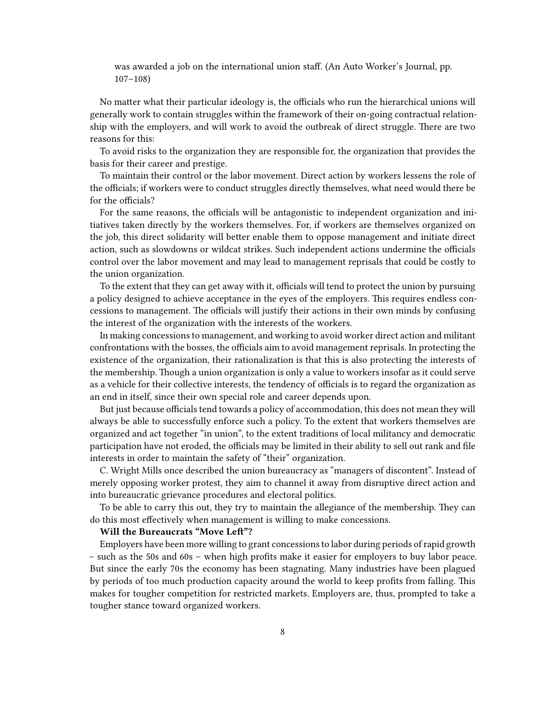was awarded a job on the international union staff. (An Auto Worker's Journal, pp. 107–108)

No matter what their particular ideology is, the officials who run the hierarchical unions will generally work to contain struggles within the framework of their on-going contractual relationship with the employers, and will work to avoid the outbreak of direct struggle. There are two reasons for this:

To avoid risks to the organization they are responsible for, the organization that provides the basis for their career and prestige.

To maintain their control or the labor movement. Direct action by workers lessens the role of the officials; if workers were to conduct struggles directly themselves, what need would there be for the officials?

For the same reasons, the officials will be antagonistic to independent organization and initiatives taken directly by the workers themselves. For, if workers are themselves organized on the job, this direct solidarity will better enable them to oppose management and initiate direct action, such as slowdowns or wildcat strikes. Such independent actions undermine the officials control over the labor movement and may lead to management reprisals that could be costly to the union organization.

To the extent that they can get away with it, officials will tend to protect the union by pursuing a policy designed to achieve acceptance in the eyes of the employers. This requires endless concessions to management. The officials will justify their actions in their own minds by confusing the interest of the organization with the interests of the workers.

In making concessions to management, and working to avoid worker direct action and militant confrontations with the bosses, the officials aim to avoid management reprisals. In protecting the existence of the organization, their rationalization is that this is also protecting the interests of the membership. Though a union organization is only a value to workers insofar as it could serve as a vehicle for their collective interests, the tendency of officials is to regard the organization as an end in itself, since their own special role and career depends upon.

But just because officials tend towards a policy of accommodation, this does not mean they will always be able to successfully enforce such a policy. To the extent that workers themselves are organized and act together "in union", to the extent traditions of local militancy and democratic participation have not eroded, the officials may be limited in their ability to sell out rank and file interests in order to maintain the safety of "their" organization.

C. Wright Mills once described the union bureaucracy as "managers of discontent". Instead of merely opposing worker protest, they aim to channel it away from disruptive direct action and into bureaucratic grievance procedures and electoral politics.

To be able to carry this out, they try to maintain the allegiance of the membership. They can do this most effectively when management is willing to make concessions.

#### **Will the Bureaucrats "Move Left"?**

Employers have been more willing to grant concessions to labor during periods of rapid growth – such as the 50s and 60s – when high profits make it easier for employers to buy labor peace. But since the early 70s the economy has been stagnating. Many industries have been plagued by periods of too much production capacity around the world to keep profits from falling. This makes for tougher competition for restricted markets. Employers are, thus, prompted to take a tougher stance toward organized workers.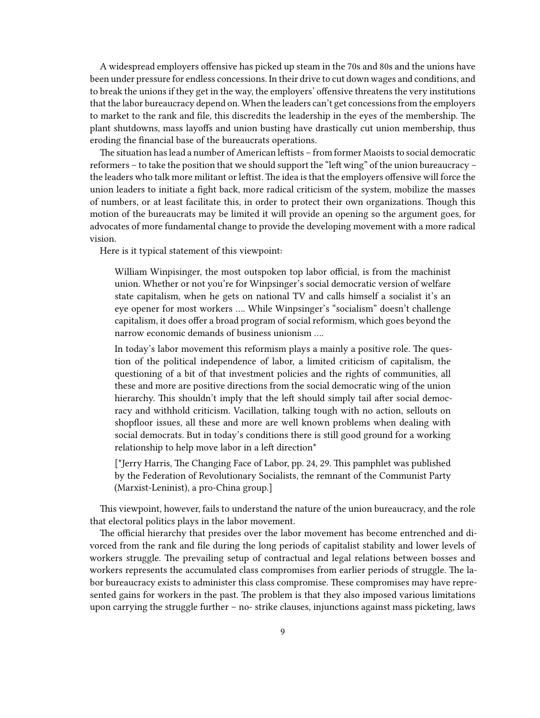A widespread employers offensive has picked up steam in the 70s and 80s and the unions have been under pressure for endless concessions. In their drive to cut down wages and conditions, and to break the unions if they get in the way, the employers' offensive threatens the very institutions that the labor bureaucracy depend on. When the leaders can't get concessions from the employers to market to the rank and file, this discredits the leadership in the eyes of the membership. The plant shutdowns, mass layoffs and union busting have drastically cut union membership, thus eroding the financial base of the bureaucrats operations.

The situation has lead a number of American leftists – from former Maoists to social democratic reformers – to take the position that we should support the "left wing" of the union bureaucracy – the leaders who talk more militant or leftist. The idea is that the employers offensive will force the union leaders to initiate a fight back, more radical criticism of the system, mobilize the masses of numbers, or at least facilitate this, in order to protect their own organizations. Though this motion of the bureaucrats may be limited it will provide an opening so the argument goes, for advocates of more fundamental change to provide the developing movement with a more radical vision.

Here is it typical statement of this viewpoint:

William Winpisinger, the most outspoken top labor official, is from the machinist union. Whether or not you're for Winpsinger's social democratic version of welfare state capitalism, when he gets on national TV and calls himself a socialist it's an eye opener for most workers …. While Winpsinger's "socialism" doesn't challenge capitalism, it does offer a broad program of social reformism, which goes beyond the narrow economic demands of business unionism ….

In today's labor movement this reformism plays a mainly a positive role. The question of the political independence of labor, a limited criticism of capitalism, the questioning of a bit of that investment policies and the rights of communities, all these and more are positive directions from the social democratic wing of the union hierarchy. This shouldn't imply that the left should simply tail after social democracy and withhold criticism. Vacillation, talking tough with no action, sellouts on shopfloor issues, all these and more are well known problems when dealing with social democrats. But in today's conditions there is still good ground for a working relationship to help move labor in a left direction\*

[\*Jerry Harris, The Changing Face of Labor, pp. 24, 29. This pamphlet was published by the Federation of Revolutionary Socialists, the remnant of the Communist Party (Marxist-Leninist), a pro-China group.]

This viewpoint, however, fails to understand the nature of the union bureaucracy, and the role that electoral politics plays in the labor movement.

The official hierarchy that presides over the labor movement has become entrenched and divorced from the rank and file during the long periods of capitalist stability and lower levels of workers struggle. The prevailing setup of contractual and legal relations between bosses and workers represents the accumulated class compromises from earlier periods of struggle. The labor bureaucracy exists to administer this class compromise. These compromises may have represented gains for workers in the past. The problem is that they also imposed various limitations upon carrying the struggle further – no- strike clauses, injunctions against mass picketing, laws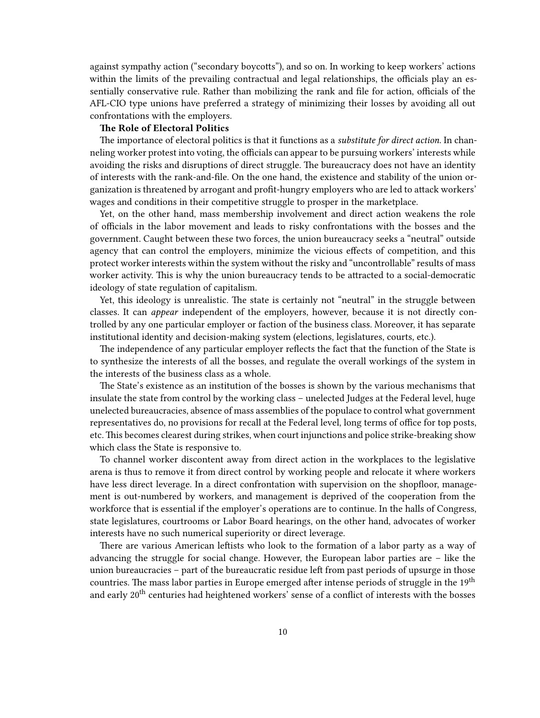against sympathy action ("secondary boycotts"), and so on. In working to keep workers' actions within the limits of the prevailing contractual and legal relationships, the officials play an essentially conservative rule. Rather than mobilizing the rank and file for action, officials of the AFL-CIO type unions have preferred a strategy of minimizing their losses by avoiding all out confrontations with the employers.

### **The Role of Electoral Politics**

The importance of electoral politics is that it functions as a *substitute for direct action*. In channeling worker protest into voting, the officials can appear to be pursuing workers' interests while avoiding the risks and disruptions of direct struggle. The bureaucracy does not have an identity of interests with the rank-and-file. On the one hand, the existence and stability of the union organization is threatened by arrogant and profit-hungry employers who are led to attack workers' wages and conditions in their competitive struggle to prosper in the marketplace.

Yet, on the other hand, mass membership involvement and direct action weakens the role of officials in the labor movement and leads to risky confrontations with the bosses and the government. Caught between these two forces, the union bureaucracy seeks a "neutral" outside agency that can control the employers, minimize the vicious effects of competition, and this protect worker interests within the system without the risky and "uncontrollable" results of mass worker activity. This is why the union bureaucracy tends to be attracted to a social-democratic ideology of state regulation of capitalism.

Yet, this ideology is unrealistic. The state is certainly not "neutral" in the struggle between classes. It can *appear* independent of the employers, however, because it is not directly controlled by any one particular employer or faction of the business class. Moreover, it has separate institutional identity and decision-making system (elections, legislatures, courts, etc.).

The independence of any particular employer reflects the fact that the function of the State is to synthesize the interests of all the bosses, and regulate the overall workings of the system in the interests of the business class as a whole.

The State's existence as an institution of the bosses is shown by the various mechanisms that insulate the state from control by the working class – unelected Judges at the Federal level, huge unelected bureaucracies, absence of mass assemblies of the populace to control what government representatives do, no provisions for recall at the Federal level, long terms of office for top posts, etc. This becomes clearest during strikes, when court injunctions and police strike-breaking show which class the State is responsive to.

To channel worker discontent away from direct action in the workplaces to the legislative arena is thus to remove it from direct control by working people and relocate it where workers have less direct leverage. In a direct confrontation with supervision on the shopfloor, management is out-numbered by workers, and management is deprived of the cooperation from the workforce that is essential if the employer's operations are to continue. In the halls of Congress, state legislatures, courtrooms or Labor Board hearings, on the other hand, advocates of worker interests have no such numerical superiority or direct leverage.

There are various American leftists who look to the formation of a labor party as a way of advancing the struggle for social change. However, the European labor parties are – like the union bureaucracies – part of the bureaucratic residue left from past periods of upsurge in those countries. The mass labor parties in Europe emerged after intense periods of struggle in the 19<sup>th</sup> and early 20<sup>th</sup> centuries had heightened workers' sense of a conflict of interests with the bosses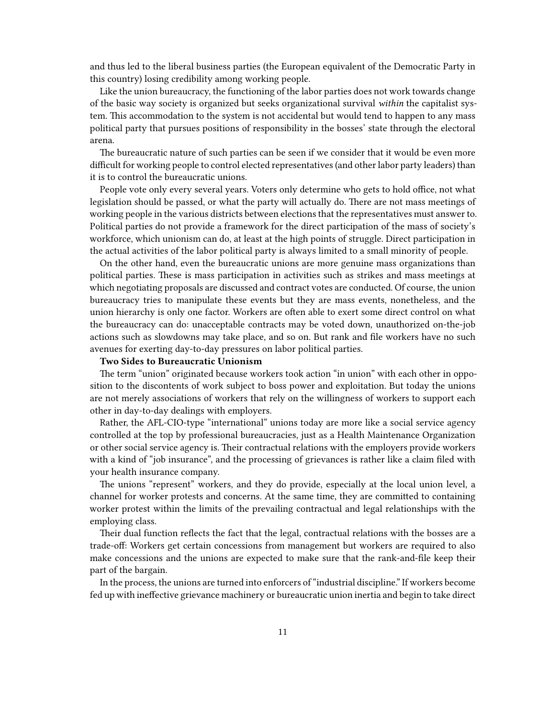and thus led to the liberal business parties (the European equivalent of the Democratic Party in this country) losing credibility among working people.

Like the union bureaucracy, the functioning of the labor parties does not work towards change of the basic way society is organized but seeks organizational survival *within* the capitalist system. This accommodation to the system is not accidental but would tend to happen to any mass political party that pursues positions of responsibility in the bosses' state through the electoral arena.

The bureaucratic nature of such parties can be seen if we consider that it would be even more difficult for working people to control elected representatives (and other labor party leaders) than it is to control the bureaucratic unions.

People vote only every several years. Voters only determine who gets to hold office, not what legislation should be passed, or what the party will actually do. There are not mass meetings of working people in the various districts between elections that the representatives must answer to. Political parties do not provide a framework for the direct participation of the mass of society's workforce, which unionism can do, at least at the high points of struggle. Direct participation in the actual activities of the labor political party is always limited to a small minority of people.

On the other hand, even the bureaucratic unions are more genuine mass organizations than political parties. These is mass participation in activities such as strikes and mass meetings at which negotiating proposals are discussed and contract votes are conducted. Of course, the union bureaucracy tries to manipulate these events but they are mass events, nonetheless, and the union hierarchy is only one factor. Workers are often able to exert some direct control on what the bureaucracy can do: unacceptable contracts may be voted down, unauthorized on-the-job actions such as slowdowns may take place, and so on. But rank and file workers have no such avenues for exerting day-to-day pressures on labor political parties.

#### **Two Sides to Bureaucratic Unionism**

The term "union" originated because workers took action "in union" with each other in opposition to the discontents of work subject to boss power and exploitation. But today the unions are not merely associations of workers that rely on the willingness of workers to support each other in day-to-day dealings with employers.

Rather, the AFL-CIO-type "international" unions today are more like a social service agency controlled at the top by professional bureaucracies, just as a Health Maintenance Organization or other social service agency is. Their contractual relations with the employers provide workers with a kind of "job insurance", and the processing of grievances is rather like a claim filed with your health insurance company.

The unions "represent" workers, and they do provide, especially at the local union level, a channel for worker protests and concerns. At the same time, they are committed to containing worker protest within the limits of the prevailing contractual and legal relationships with the employing class.

Their dual function reflects the fact that the legal, contractual relations with the bosses are a trade-off: Workers get certain concessions from management but workers are required to also make concessions and the unions are expected to make sure that the rank-and-file keep their part of the bargain.

In the process, the unions are turned into enforcers of "industrial discipline." If workers become fed up with ineffective grievance machinery or bureaucratic union inertia and begin to take direct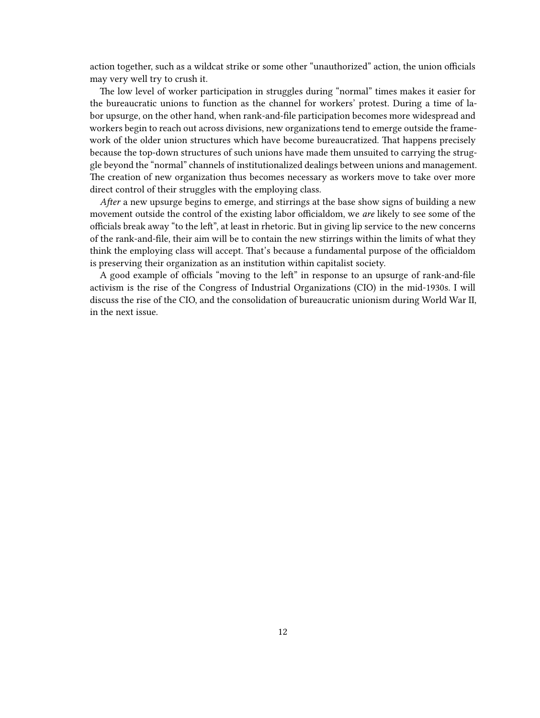action together, such as a wildcat strike or some other "unauthorized" action, the union officials may very well try to crush it.

The low level of worker participation in struggles during "normal" times makes it easier for the bureaucratic unions to function as the channel for workers' protest. During a time of labor upsurge, on the other hand, when rank-and-file participation becomes more widespread and workers begin to reach out across divisions, new organizations tend to emerge outside the framework of the older union structures which have become bureaucratized. That happens precisely because the top-down structures of such unions have made them unsuited to carrying the struggle beyond the "normal" channels of institutionalized dealings between unions and management. The creation of new organization thus becomes necessary as workers move to take over more direct control of their struggles with the employing class.

*After* a new upsurge begins to emerge, and stirrings at the base show signs of building a new movement outside the control of the existing labor officialdom, we *are* likely to see some of the officials break away "to the left", at least in rhetoric. But in giving lip service to the new concerns of the rank-and-file, their aim will be to contain the new stirrings within the limits of what they think the employing class will accept. That's because a fundamental purpose of the officialdom is preserving their organization as an institution within capitalist society.

A good example of officials "moving to the left" in response to an upsurge of rank-and-file activism is the rise of the Congress of Industrial Organizations (CIO) in the mid-1930s. I will discuss the rise of the CIO, and the consolidation of bureaucratic unionism during World War II, in the next issue.